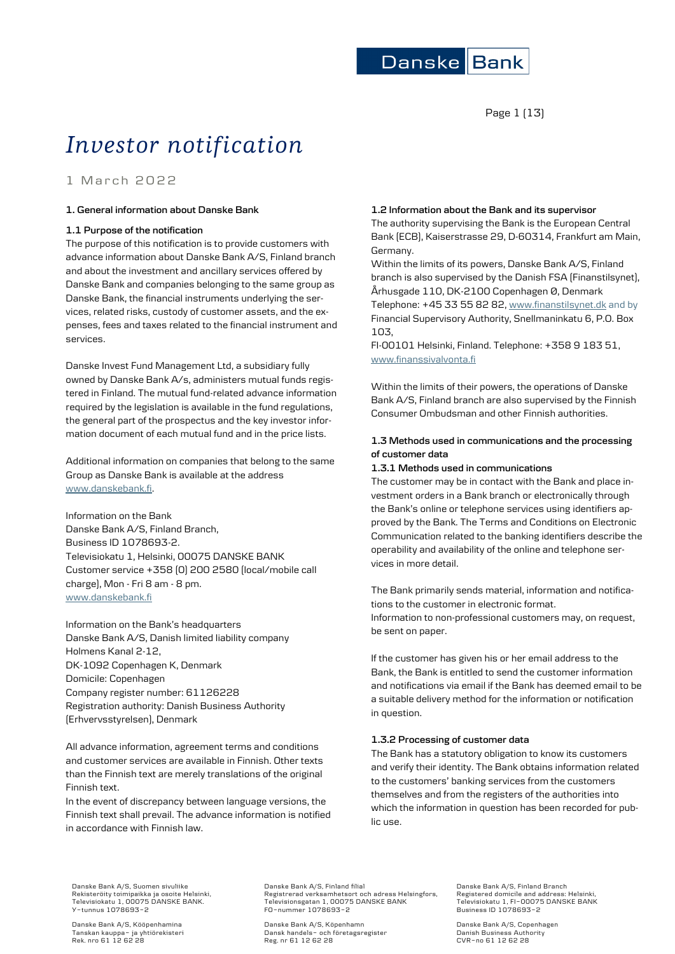

Page 1 (13)

# *Investor notification*

1 March 2022

# **1. General information about Danske Bank**

### **1.1 Purpose of the notification**

The purpose of this notification is to provide customers with advance information about Danske Bank A/S, Finland branch and about the investment and ancillary services offered by Danske Bank and companies belonging to the same group as Danske Bank, the financial instruments underlying the services, related risks, custody of customer assets, and the expenses, fees and taxes related to the financial instrument and services.

Danske Invest Fund Management Ltd, a subsidiary fully owned by Danske Bank A/s, administers mutual funds registered in Finland. The mutual fund-related advance information required by the legislation is available in the fund regulations, the general part of the prospectus and the key investor information document of each mutual fund and in the price lists.

Additional information on companies that belong to the same Group as Danske Bank is available at the address [www.danskebank.fi.](http://www.danskebank.fi/)

Information on the Bank Danske Bank A/S, Finland Branch, Business ID 1078693-2. Televisiokatu 1, Helsinki, 00075 DANSKE BANK Customer service +358 (0) 200 2580 (local/mobile call charge), Mon - Fri 8 am - 8 pm. [www.danskebank.fi](http://www.danskebank.fi/)

Information on the Bank's headquarters Danske Bank A/S, Danish limited liability company Holmens Kanal 2-12, DK-1092 Copenhagen K, Denmark Domicile: Copenhagen Company register number: 61126228 Registration authority: Danish Business Authority (Erhvervsstyrelsen), Denmark

All advance information, agreement terms and conditions and customer services are available in Finnish. Other texts than the Finnish text are merely translations of the original Finnish text.

In the event of discrepancy between language versions, the Finnish text shall prevail. The advance information is notified in accordance with Finnish law.

# **1.2 Information about the Bank and its supervisor**

The authority supervising the Bank is the European Central Bank (ECB), Kaiserstrasse 29, D-60314, Frankfurt am Main, Germany.

Within the limits of its powers, Danske Bank A/S, Finland branch is also supervised by the Danish FSA (Finanstilsynet), Århusgade 110, DK-2100 Copenhagen Ø, Denmark Telephone: +45 33 55 82 82[, www.finanstilsynet.dk](http://www.finanstilsynet.dk/) and by Financial Supervisory Authority, Snellmaninkatu 6, P.O. Box

FI-00101 Helsinki, Finland. Telephone: +358 9 183 51, [www.finanssivalvonta.fi](http://www.finanssivalvonta.fi/)

Within the limits of their powers, the operations of Danske Bank A/S, Finland branch are also supervised by the Finnish Consumer Ombudsman and other Finnish authorities.

# **1.3 Methods used in communications and the processing of customer data**

### **1.3.1 Methods used in communications**

103,

The customer may be in contact with the Bank and place investment orders in a Bank branch or electronically through the Bank's online or telephone services using identifiers approved by the Bank. The Terms and Conditions on Electronic Communication related to the banking identifiers describe the operability and availability of the online and telephone services in more detail.

The Bank primarily sends material, information and notifications to the customer in electronic format. Information to non-professional customers may, on request, be sent on paper.

If the customer has given his or her email address to the Bank, the Bank is entitled to send the customer information and notifications via email if the Bank has deemed email to be a suitable delivery method for the information or notification in question.

# **1.3.2 Processing of customer data**

The Bank has a statutory obligation to know its customers and verify their identity. The Bank obtains information related to the customers' banking services from the customers themselves and from the registers of the authorities into which the information in question has been recorded for public use.

Danske Bank A/S, Suomen sivuliike Rekisteröity toimipaikka ja osoite Helsinki, Televisiokatu 1, 00075 DANSKE BANK. Y-tunnus 1078693-2

Danske Bank A/S, Kööpenhamina Tanskan kauppa- ja yhtiörekisteri Rek. nro 61 12 62 28 Danske Bank A/S, Finland filial Registrerad verksamhetsort och adress Helsingfors, Televisionsgatan 1, 00075 DANSKE BANK FO-nummer 1078693-2

Danske Bank A/S, Köpenhamn Dansk handels- och företagsregister Reg. nr 61 12 62 28

Danske Bank A/S, Finland Branch Registered domicile and address: Helsinki, Televisiokatu 1, FI-00075 DANSKE BANK Business ID 1078693-2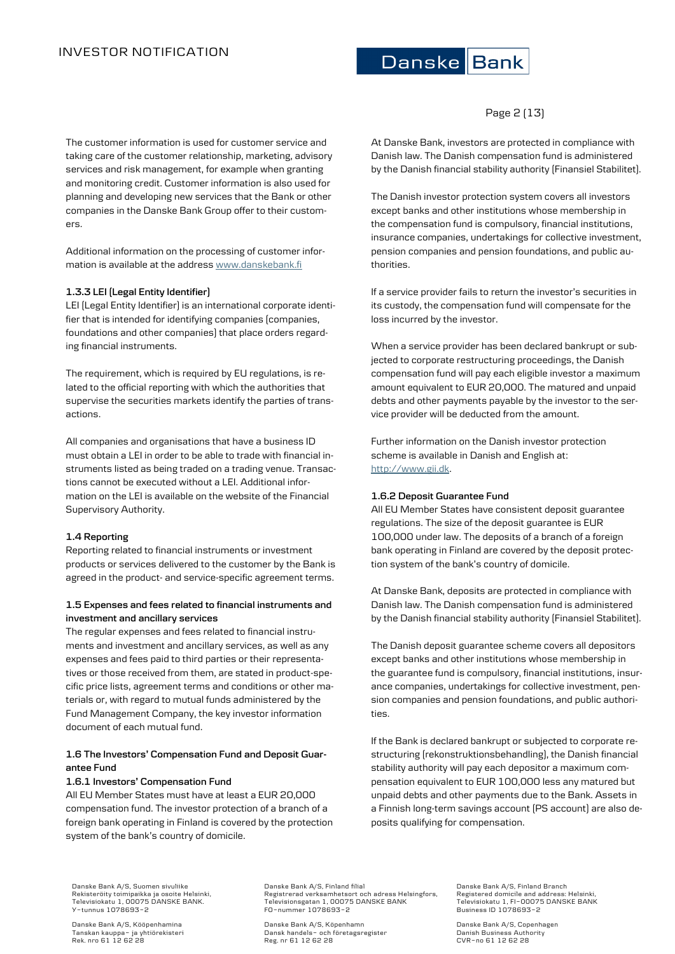The customer information is used for customer service and taking care of the customer relationship, marketing, advisory services and risk management, for example when granting and monitoring credit. Customer information is also used for planning and developing new services that the Bank or other companies in the Danske Bank Group offer to their customers.

Additional information on the processing of customer information is available at the addres[s www.danskebank.fi](http://www.danskebank.fi/)

# **1.3.3 LEI (Legal Entity Identifier)**

LEI (Legal Entity Identifier) is an international corporate identifier that is intended for identifying companies (companies, foundations and other companies) that place orders regarding financial instruments.

The requirement, which is required by EU regulations, is related to the official reporting with which the authorities that supervise the securities markets identify the parties of transactions.

All companies and organisations that have a business ID must obtain a LEI in order to be able to trade with financial instruments listed as being traded on a trading venue. Transactions cannot be executed without a LEI. Additional information on the LEI is available on the website of the Financial Supervisory Authority.

# **1.4 Reporting**

Reporting related to financial instruments or investment products or services delivered to the customer by the Bank is agreed in the product- and service-specific agreement terms.

# **1.5 Expenses and fees related to financial instruments and investment and ancillary services**

The regular expenses and fees related to financial instruments and investment and ancillary services, as well as any expenses and fees paid to third parties or their representatives or those received from them, are stated in product-specific price lists, agreement terms and conditions or other materials or, with regard to mutual funds administered by the Fund Management Company, the key investor information document of each mutual fund.

# **1.6 The Investors' Compensation Fund and Deposit Guarantee Fund**

### **1.6.1 Investors' Compensation Fund**

All EU Member States must have at least a EUR 20,000 compensation fund. The investor protection of a branch of a foreign bank operating in Finland is covered by the protection system of the bank's country of domicile.

# Danske Bank

# Page 2 (13)

At Danske Bank, investors are protected in compliance with Danish law. The Danish compensation fund is administered by the Danish financial stability authority (Finansiel Stabilitet).

The Danish investor protection system covers all investors except banks and other institutions whose membership in the compensation fund is compulsory, financial institutions, insurance companies, undertakings for collective investment, pension companies and pension foundations, and public authorities.

If a service provider fails to return the investor's securities in its custody, the compensation fund will compensate for the loss incurred by the investor.

When a service provider has been declared bankrupt or subjected to corporate restructuring proceedings, the Danish compensation fund will pay each eligible investor a maximum amount equivalent to EUR 20,000. The matured and unpaid debts and other payments payable by the investor to the service provider will be deducted from the amount.

Further information on the Danish investor protection scheme is available in Danish and English at: [http://www.gii.dk.](http://www.gii.dk/)

### **1.6.2 Deposit Guarantee Fund**

All EU Member States have consistent deposit guarantee regulations. The size of the deposit guarantee is EUR 100,000 under law. The deposits of a branch of a foreign bank operating in Finland are covered by the deposit protection system of the bank's country of domicile.

At Danske Bank, deposits are protected in compliance with Danish law. The Danish compensation fund is administered by the Danish financial stability authority (Finansiel Stabilitet).

The Danish deposit guarantee scheme covers all depositors except banks and other institutions whose membership in the guarantee fund is compulsory, financial institutions, insurance companies, undertakings for collective investment, pension companies and pension foundations, and public authorities.

If the Bank is declared bankrupt or subjected to corporate restructuring (rekonstruktionsbehandling), the Danish financial stability authority will pay each depositor a maximum compensation equivalent to EUR 100,000 less any matured but unpaid debts and other payments due to the Bank. Assets in a Finnish long-term savings account (PS account) are also deposits qualifying for compensation.

Danske Bank A/S, Suomen sivuliike Rekisteröity toimipaikka ja osoite Helsinki, Televisiokatu 1, 00075 DANSKE BANK. Y-tunnus 1078693-2

Danske Bank A/S, Kööpenhamina Tanskan kauppa- ja yhtiörekisteri Rek. nro 61 12 62 28 Danske Bank A/S, Finland filial Registrerad verksamhetsort och adress Helsingfors, Televisionsgatan 1, 00075 DANSKE BANK FO-nummer 1078693-2

Danske Bank A/S, Köpenhamn Dansk handels- och företagsregister Reg. nr 61 12 62 28

Danske Bank A/S, Finland Branch Registered domicile and address: Helsinki, Televisiokatu 1, FI-00075 DANSKE BANK Business ID 1078693-2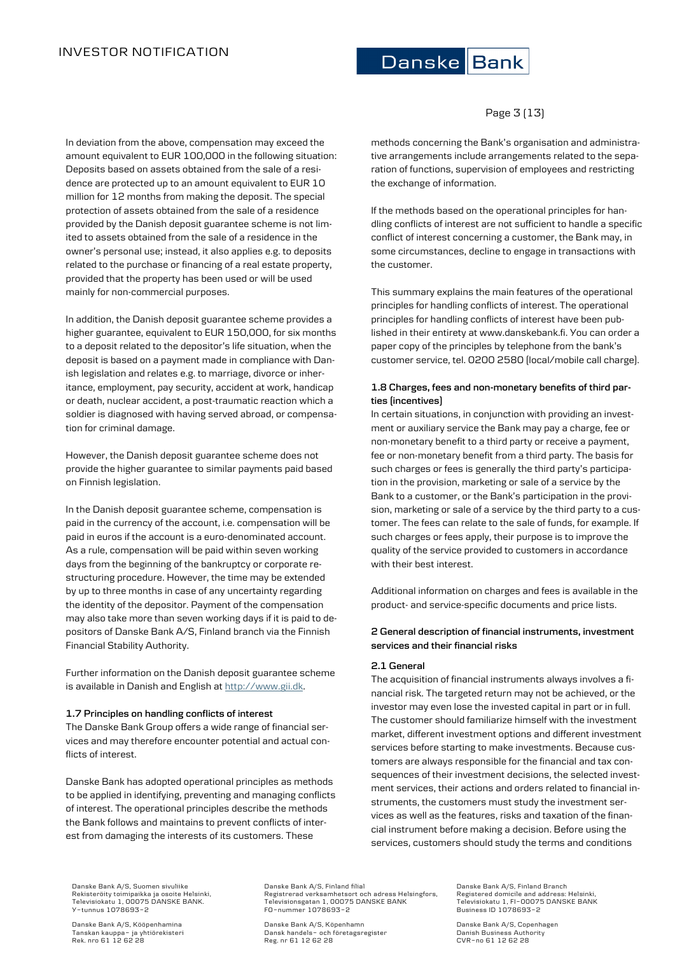Page 3 (13)

In deviation from the above, compensation may exceed the amount equivalent to EUR 100,000 in the following situation: Deposits based on assets obtained from the sale of a residence are protected up to an amount equivalent to EUR 10 million for 12 months from making the deposit. The special protection of assets obtained from the sale of a residence provided by the Danish deposit guarantee scheme is not limited to assets obtained from the sale of a residence in the owner's personal use; instead, it also applies e.g. to deposits related to the purchase or financing of a real estate property, provided that the property has been used or will be used mainly for non-commercial purposes.

In addition, the Danish deposit guarantee scheme provides a higher guarantee, equivalent to EUR 150,000, for six months to a deposit related to the depositor's life situation, when the deposit is based on a payment made in compliance with Danish legislation and relates e.g. to marriage, divorce or inheritance, employment, pay security, accident at work, handicap or death, nuclear accident, a post-traumatic reaction which a soldier is diagnosed with having served abroad, or compensation for criminal damage.

However, the Danish deposit guarantee scheme does not provide the higher guarantee to similar payments paid based on Finnish legislation.

In the Danish deposit guarantee scheme, compensation is paid in the currency of the account, i.e. compensation will be paid in euros if the account is a euro-denominated account. As a rule, compensation will be paid within seven working days from the beginning of the bankruptcy or corporate restructuring procedure. However, the time may be extended by up to three months in case of any uncertainty regarding the identity of the depositor. Payment of the compensation may also take more than seven working days if it is paid to depositors of Danske Bank A/S, Finland branch via the Finnish Financial Stability Authority.

Further information on the Danish deposit guarantee scheme is available in Danish and English a[t http://www.gii.dk.](http://www.gii.dk/)

### **1.7 Principles on handling conflicts of interest**

The Danske Bank Group offers a wide range of financial services and may therefore encounter potential and actual conflicts of interest.

Danske Bank has adopted operational principles as methods to be applied in identifying, preventing and managing conflicts of interest. The operational principles describe the methods the Bank follows and maintains to prevent conflicts of interest from damaging the interests of its customers. These

methods concerning the Bank's organisation and administrative arrangements include arrangements related to the separation of functions, supervision of employees and restricting the exchange of information.

If the methods based on the operational principles for handling conflicts of interest are not sufficient to handle a specific conflict of interest concerning a customer, the Bank may, in some circumstances, decline to engage in transactions with the customer.

This summary explains the main features of the operational principles for handling conflicts of interest. The operational principles for handling conflicts of interest have been published in their entirety at www.danskebank.fi. You can order a paper copy of the principles by telephone from the bank's customer service, tel. 0200 2580 (local/mobile call charge).

# **1.8 Charges, fees and non-monetary benefits of third parties (incentives)**

In certain situations, in conjunction with providing an investment or auxiliary service the Bank may pay a charge, fee or non-monetary benefit to a third party or receive a payment, fee or non-monetary benefit from a third party. The basis for such charges or fees is generally the third party's participation in the provision, marketing or sale of a service by the Bank to a customer, or the Bank's participation in the provision, marketing or sale of a service by the third party to a customer. The fees can relate to the sale of funds, for example. If such charges or fees apply, their purpose is to improve the quality of the service provided to customers in accordance with their best interest.

Additional information on charges and fees is available in the product- and service-specific documents and price lists.

# **2 General description of financial instruments, investment services and their financial risks**

### **2.1 General**

The acquisition of financial instruments always involves a financial risk. The targeted return may not be achieved, or the investor may even lose the invested capital in part or in full. The customer should familiarize himself with the investment market, different investment options and different investment services before starting to make investments. Because customers are always responsible for the financial and tax consequences of their investment decisions, the selected investment services, their actions and orders related to financial instruments, the customers must study the investment services as well as the features, risks and taxation of the financial instrument before making a decision. Before using the services, customers should study the terms and conditions

Danske Bank A/S, Suomen sivuliike Rekisteröity toimipaikka ja osoite Helsinki, Televisiokatu 1, 00075 DANSKE BANK. Y-tunnus 1078693-2

Danske Bank A/S, Kööpenhamina Tanskan kauppa- ja yhtiörekisteri Rek. nro 61 12 62 28

Danske Bank A/S, Finland filial Registrerad verksamhetsort och adress Helsingfors, Televisionsgatan 1, 00075 DANSKE BANK FO-nummer 1078693-2

Danske Bank A/S, Köpenhamn Dansk handels- och företagsregister Reg. nr 61 12 62 28

Danske Bank A/S, Finland Branch Registered domicile and address: Helsinki, Televisiokatu 1, FI-00075 DANSKE BANK Business ID 1078693-2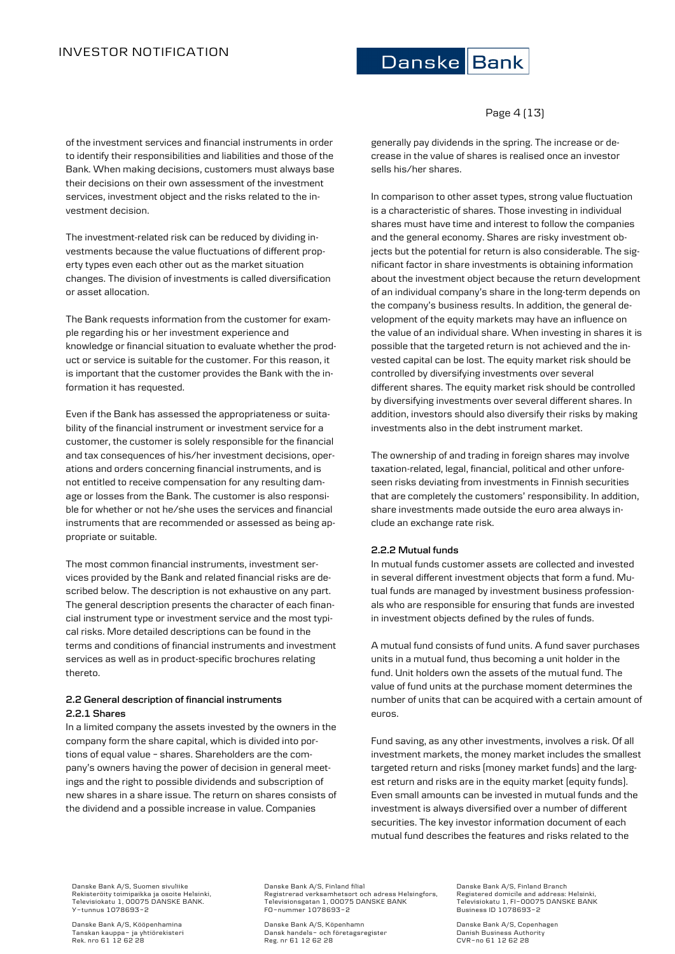of the investment services and financial instruments in order to identify their responsibilities and liabilities and those of the Bank. When making decisions, customers must always base their decisions on their own assessment of the investment services, investment object and the risks related to the investment decision.

The investment-related risk can be reduced by dividing investments because the value fluctuations of different property types even each other out as the market situation changes. The division of investments is called diversification or asset allocation.

The Bank requests information from the customer for example regarding his or her investment experience and knowledge or financial situation to evaluate whether the product or service is suitable for the customer. For this reason, it is important that the customer provides the Bank with the information it has requested.

Even if the Bank has assessed the appropriateness or suitability of the financial instrument or investment service for a customer, the customer is solely responsible for the financial and tax consequences of his/her investment decisions, operations and orders concerning financial instruments, and is not entitled to receive compensation for any resulting damage or losses from the Bank. The customer is also responsible for whether or not he/she uses the services and financial instruments that are recommended or assessed as being appropriate or suitable.

The most common financial instruments, investment services provided by the Bank and related financial risks are described below. The description is not exhaustive on any part. The general description presents the character of each financial instrument type or investment service and the most typical risks. More detailed descriptions can be found in the terms and conditions of financial instruments and investment services as well as in product-specific brochures relating thereto.

# **2.2 General description of financial instruments 2.2.1 Shares**

In a limited company the assets invested by the owners in the company form the share capital, which is divided into portions of equal value – shares. Shareholders are the company's owners having the power of decision in general meetings and the right to possible dividends and subscription of new shares in a share issue. The return on shares consists of the dividend and a possible increase in value. Companies



Page 4 (13)

generally pay dividends in the spring. The increase or decrease in the value of shares is realised once an investor sells his/her shares.

In comparison to other asset types, strong value fluctuation is a characteristic of shares. Those investing in individual shares must have time and interest to follow the companies and the general economy. Shares are risky investment objects but the potential for return is also considerable. The significant factor in share investments is obtaining information about the investment object because the return development of an individual company's share in the long-term depends on the company's business results. In addition, the general development of the equity markets may have an influence on the value of an individual share. When investing in shares it is possible that the targeted return is not achieved and the invested capital can be lost. The equity market risk should be controlled by diversifying investments over several different shares. The equity market risk should be controlled by diversifying investments over several different shares. In addition, investors should also diversify their risks by making investments also in the debt instrument market.

The ownership of and trading in foreign shares may involve taxation-related, legal, financial, political and other unforeseen risks deviating from investments in Finnish securities that are completely the customers' responsibility. In addition, share investments made outside the euro area always include an exchange rate risk.

### **2.2.2 Mutual funds**

In mutual funds customer assets are collected and invested in several different investment objects that form a fund. Mutual funds are managed by investment business professionals who are responsible for ensuring that funds are invested in investment objects defined by the rules of funds.

A mutual fund consists of fund units. A fund saver purchases units in a mutual fund, thus becoming a unit holder in the fund. Unit holders own the assets of the mutual fund. The value of fund units at the purchase moment determines the number of units that can be acquired with a certain amount of euros.

Fund saving, as any other investments, involves a risk. Of all investment markets, the money market includes the smallest targeted return and risks (money market funds) and the largest return and risks are in the equity market (equity funds). Even small amounts can be invested in mutual funds and the investment is always diversified over a number of different securities. The key investor information document of each mutual fund describes the features and risks related to the

Danske Bank A/S, Suomen sivuliike Rekisteröity toimipaikka ja osoite Helsinki, Televisiokatu 1, 00075 DANSKE BANK. Y-tunnus 1078693-2

Danske Bank A/S, Kööpenhamina Tanskan kauppa- ja yhtiörekisteri Rek. nro 61 12 62 28

Danske Bank A/S, Finland filial Registrerad verksamhetsort och adress Helsingfors, Televisionsgatan 1, 00075 DANSKE BANK FO-nummer 1078693-2

Danske Bank A/S, Köpenhamn Dansk handels- och företagsregister Reg. nr 61 12 62 28

Danske Bank A/S, Finland Branch Registered domicile and address: Helsinki, Televisiokatu 1, FI-00075 DANSKE BANK Business ID 1078693-2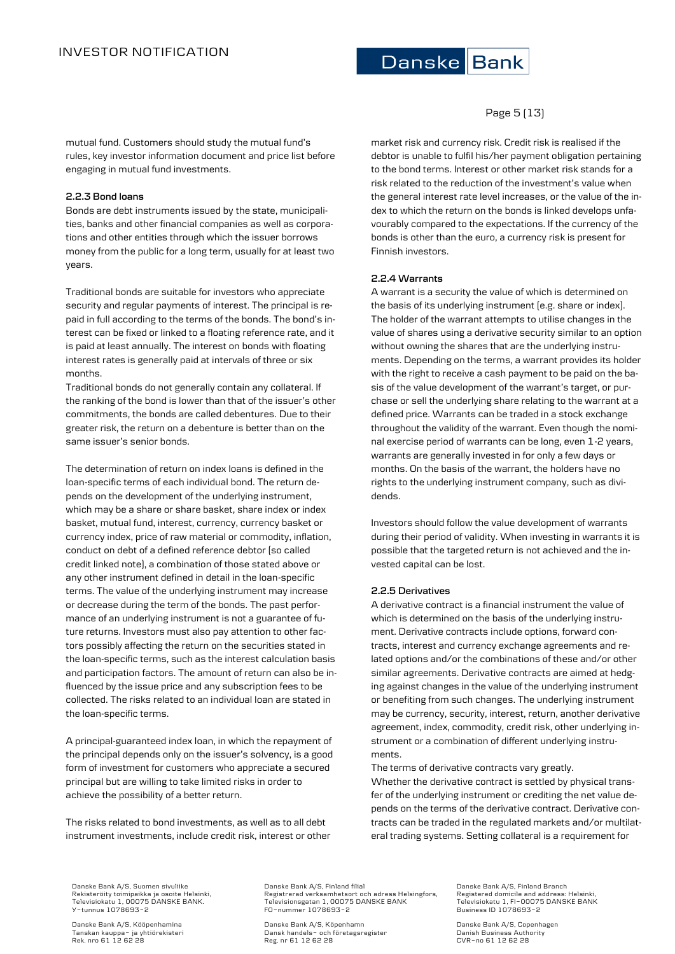# Page 5 (13)

mutual fund. Customers should study the mutual fund's rules, key investor information document and price list before engaging in mutual fund investments.

### **2.2.3 Bond loans**

Bonds are debt instruments issued by the state, municipalities, banks and other financial companies as well as corporations and other entities through which the issuer borrows money from the public for a long term, usually for at least two years.

Traditional bonds are suitable for investors who appreciate security and regular payments of interest. The principal is repaid in full according to the terms of the bonds. The bond's interest can be fixed or linked to a floating reference rate, and it is paid at least annually. The interest on bonds with floating interest rates is generally paid at intervals of three or six months.

Traditional bonds do not generally contain any collateral. If the ranking of the bond is lower than that of the issuer's other commitments, the bonds are called debentures. Due to their greater risk, the return on a debenture is better than on the same issuer's senior bonds.

The determination of return on index loans is defined in the loan-specific terms of each individual bond. The return depends on the development of the underlying instrument, which may be a share or share basket, share index or index basket, mutual fund, interest, currency, currency basket or currency index, price of raw material or commodity, inflation, conduct on debt of a defined reference debtor (so called credit linked note), a combination of those stated above or any other instrument defined in detail in the loan-specific terms. The value of the underlying instrument may increase or decrease during the term of the bonds. The past performance of an underlying instrument is not a guarantee of future returns. Investors must also pay attention to other factors possibly affecting the return on the securities stated in the loan-specific terms, such as the interest calculation basis and participation factors. The amount of return can also be influenced by the issue price and any subscription fees to be collected. The risks related to an individual loan are stated in the loan-specific terms.

A principal-guaranteed index loan, in which the repayment of the principal depends only on the issuer's solvency, is a good form of investment for customers who appreciate a secured principal but are willing to take limited risks in order to achieve the possibility of a better return.

The risks related to bond investments, as well as to all debt instrument investments, include credit risk, interest or other market risk and currency risk. Credit risk is realised if the debtor is unable to fulfil his/her payment obligation pertaining to the bond terms. Interest or other market risk stands for a risk related to the reduction of the investment's value when the general interest rate level increases, or the value of the index to which the return on the bonds is linked develops unfavourably compared to the expectations. If the currency of the bonds is other than the euro, a currency risk is present for Finnish investors.

## **2.2.4 Warrants**

A warrant is a security the value of which is determined on the basis of its underlying instrument (e.g. share or index). The holder of the warrant attempts to utilise changes in the value of shares using a derivative security similar to an option without owning the shares that are the underlying instruments. Depending on the terms, a warrant provides its holder with the right to receive a cash payment to be paid on the basis of the value development of the warrant's target, or purchase or sell the underlying share relating to the warrant at a defined price. Warrants can be traded in a stock exchange throughout the validity of the warrant. Even though the nominal exercise period of warrants can be long, even 1-2 years, warrants are generally invested in for only a few days or months. On the basis of the warrant, the holders have no rights to the underlying instrument company, such as dividends.

Investors should follow the value development of warrants during their period of validity. When investing in warrants it is possible that the targeted return is not achieved and the invested capital can be lost.

# **2.2.5 Derivatives**

A derivative contract is a financial instrument the value of which is determined on the basis of the underlying instrument. Derivative contracts include options, forward contracts, interest and currency exchange agreements and related options and/or the combinations of these and/or other similar agreements. Derivative contracts are aimed at hedging against changes in the value of the underlying instrument or benefiting from such changes. The underlying instrument may be currency, security, interest, return, another derivative agreement, index, commodity, credit risk, other underlying instrument or a combination of different underlying instruments.

The terms of derivative contracts vary greatly.

Whether the derivative contract is settled by physical transfer of the underlying instrument or crediting the net value depends on the terms of the derivative contract. Derivative contracts can be traded in the regulated markets and/or multilateral trading systems. Setting collateral is a requirement for

Danske Bank A/S, Suomen sivuliike Rekisteröity toimipaikka ja osoite Helsinki, Televisiokatu 1, 00075 DANSKE BANK. Y-tunnus 1078693-2

Danske Bank A/S, Kööpenhamina Tanskan kauppa- ja yhtiörekisteri Rek. nro 61 12 62 28

Danske Bank A/S, Finland filial Registrerad verksamhetsort och adress Helsingfors, Televisionsgatan 1, 00075 DANSKE BANK FO-nummer 1078693-2

Danske Bank A/S, Köpenhamn Dansk handels- och företagsregister Reg. nr 61 12 62 28

Danske Bank A/S, Finland Branch Registered domicile and address: Helsinki, Televisiokatu 1, FI-00075 DANSKE BANK Business ID 1078693-2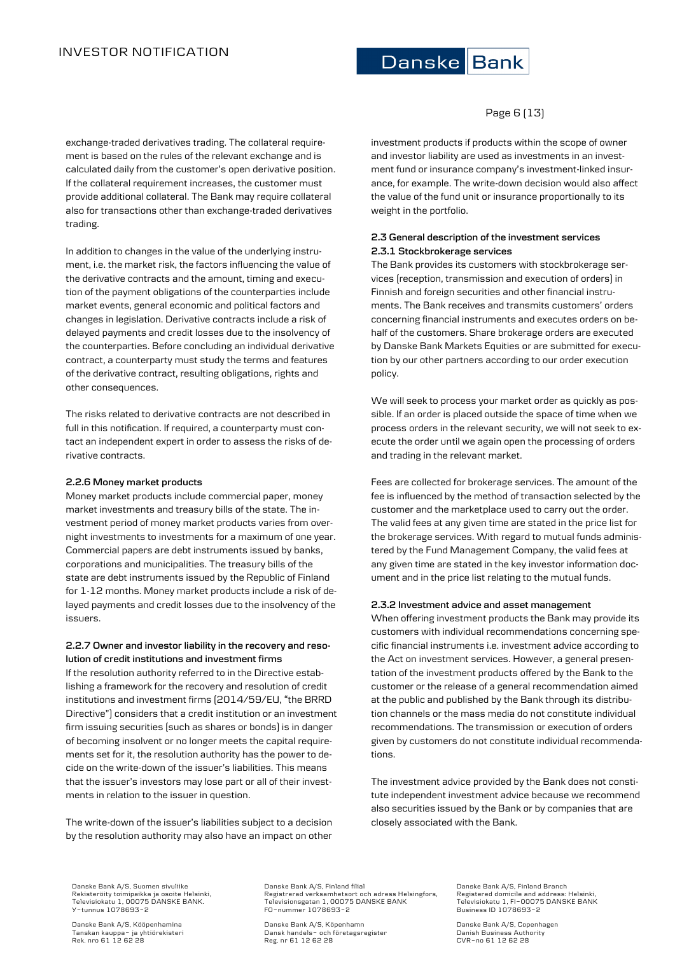# INVESTOR NOTIFICATION

# Danske Bank

# Page 6 (13)

exchange-traded derivatives trading. The collateral requirement is based on the rules of the relevant exchange and is calculated daily from the customer's open derivative position. If the collateral requirement increases, the customer must provide additional collateral. The Bank may require collateral also for transactions other than exchange-traded derivatives trading.

In addition to changes in the value of the underlying instrument, i.e. the market risk, the factors influencing the value of the derivative contracts and the amount, timing and execution of the payment obligations of the counterparties include market events, general economic and political factors and changes in legislation. Derivative contracts include a risk of delayed payments and credit losses due to the insolvency of the counterparties. Before concluding an individual derivative contract, a counterparty must study the terms and features of the derivative contract, resulting obligations, rights and other consequences.

The risks related to derivative contracts are not described in full in this notification. If required, a counterparty must contact an independent expert in order to assess the risks of derivative contracts.

### **2.2.6 Money market products**

Money market products include commercial paper, money market investments and treasury bills of the state. The investment period of money market products varies from overnight investments to investments for a maximum of one year. Commercial papers are debt instruments issued by banks, corporations and municipalities. The treasury bills of the state are debt instruments issued by the Republic of Finland for 1-12 months. Money market products include a risk of delayed payments and credit losses due to the insolvency of the issuers.

# **2.2.7 Owner and investor liability in the recovery and resolution of credit institutions and investment firms**

If the resolution authority referred to in the Directive establishing a framework for the recovery and resolution of credit institutions and investment firms (2014/59/EU, "the BRRD Directive") considers that a credit institution or an investment firm issuing securities (such as shares or bonds) is in danger of becoming insolvent or no longer meets the capital requirements set for it, the resolution authority has the power to decide on the write-down of the issuer's liabilities. This means that the issuer's investors may lose part or all of their investments in relation to the issuer in question.

The write-down of the issuer's liabilities subject to a decision by the resolution authority may also have an impact on other investment products if products within the scope of owner and investor liability are used as investments in an investment fund or insurance company's investment-linked insurance, for example. The write-down decision would also affect the value of the fund unit or insurance proportionally to its weight in the portfolio.

# **2.3 General description of the investment services 2.3.1 Stockbrokerage services**

The Bank provides its customers with stockbrokerage services (reception, transmission and execution of orders) in Finnish and foreign securities and other financial instruments. The Bank receives and transmits customers' orders concerning financial instruments and executes orders on behalf of the customers. Share brokerage orders are executed by Danske Bank Markets Equities or are submitted for execution by our other partners according to our order execution policy.

We will seek to process your market order as quickly as possible. If an order is placed outside the space of time when we process orders in the relevant security, we will not seek to execute the order until we again open the processing of orders and trading in the relevant market.

Fees are collected for brokerage services. The amount of the fee is influenced by the method of transaction selected by the customer and the marketplace used to carry out the order. The valid fees at any given time are stated in the price list for the brokerage services. With regard to mutual funds administered by the Fund Management Company, the valid fees at any given time are stated in the key investor information document and in the price list relating to the mutual funds.

# **2.3.2 Investment advice and asset management**

When offering investment products the Bank may provide its customers with individual recommendations concerning specific financial instruments i.e. investment advice according to the Act on investment services. However, a general presentation of the investment products offered by the Bank to the customer or the release of a general recommendation aimed at the public and published by the Bank through its distribution channels or the mass media do not constitute individual recommendations. The transmission or execution of orders given by customers do not constitute individual recommendations.

The investment advice provided by the Bank does not constitute independent investment advice because we recommend also securities issued by the Bank or by companies that are closely associated with the Bank.

Danske Bank A/S, Suomen sivuliike Rekisteröity toimipaikka ja osoite Helsinki, Televisiokatu 1, 00075 DANSKE BANK. Y-tunnus 1078693-2

Danske Bank A/S, Kööpenhamina Tanskan kauppa- ja yhtiörekisteri Rek. nro 61 12 62 28

Danske Bank A/S, Finland filial Registrerad verksamhetsort och adress Helsingfors, Televisionsgatan 1, 00075 DANSKE BANK FO-nummer 1078693-2

Danske Bank A/S, Köpenhamn Dansk handels- och företagsregister Reg. nr 61 12 62 28

Danske Bank A/S, Finland Branch Registered domicile and address: Helsinki, Televisiokatu 1, FI-00075 DANSKE BANK Business ID 1078693-2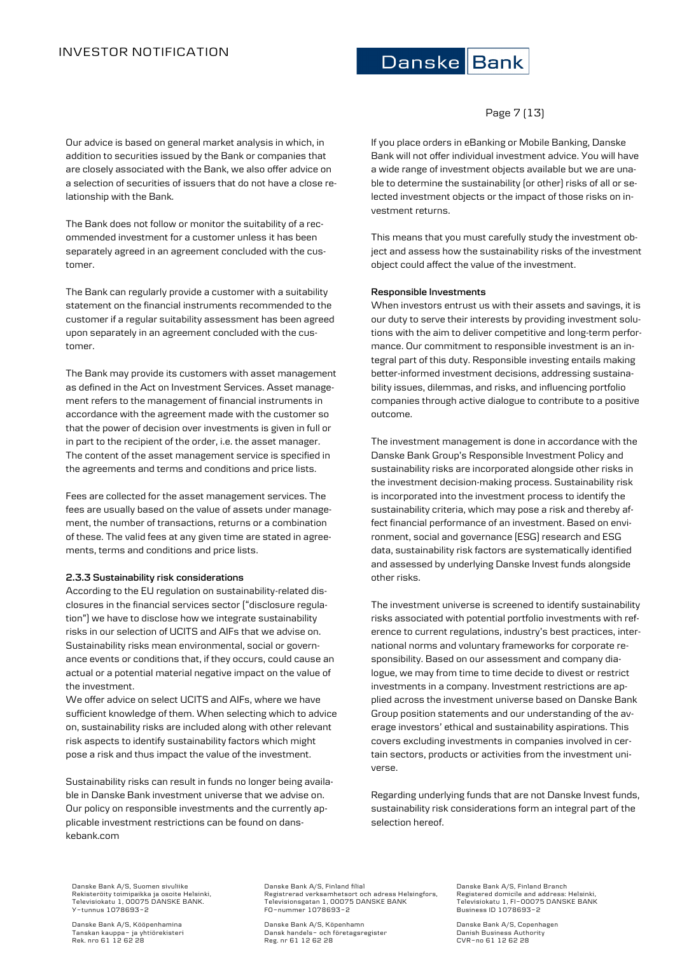# INVESTOR NOTIFICATION

# Danske Bank

# Page 7 (13)

Our advice is based on general market analysis in which, in addition to securities issued by the Bank or companies that are closely associated with the Bank, we also offer advice on a selection of securities of issuers that do not have a close relationship with the Bank.

The Bank does not follow or monitor the suitability of a recommended investment for a customer unless it has been separately agreed in an agreement concluded with the customer.

The Bank can regularly provide a customer with a suitability statement on the financial instruments recommended to the customer if a regular suitability assessment has been agreed upon separately in an agreement concluded with the customer.

The Bank may provide its customers with asset management as defined in the Act on Investment Services. Asset management refers to the management of financial instruments in accordance with the agreement made with the customer so that the power of decision over investments is given in full or in part to the recipient of the order, i.e. the asset manager. The content of the asset management service is specified in the agreements and terms and conditions and price lists.

Fees are collected for the asset management services. The fees are usually based on the value of assets under management, the number of transactions, returns or a combination of these. The valid fees at any given time are stated in agreements, terms and conditions and price lists.

### **2.3.3 Sustainability risk considerations**

According to the EU regulation on sustainability-related disclosures in the financial services sector ("disclosure regulation") we have to disclose how we integrate sustainability risks in our selection of UCITS and AIFs that we advise on. Sustainability risks mean environmental, social or governance events or conditions that, if they occurs, could cause an actual or a potential material negative impact on the value of the investment.

We offer advice on select UCITS and AIFs, where we have sufficient knowledge of them. When selecting which to advice on, sustainability risks are included along with other relevant risk aspects to identify sustainability factors which might pose a risk and thus impact the value of the investment.

Sustainability risks can result in funds no longer being available in Danske Bank investment universe that we advise on. Our policy on responsible investments and the currently applicable investment restrictions can be found on danskebank.com

If you place orders in eBanking or Mobile Banking, Danske Bank will not offer individual investment advice. You will have a wide range of investment objects available but we are unable to determine the sustainability (or other) risks of all or selected investment objects or the impact of those risks on investment returns.

This means that you must carefully study the investment object and assess how the sustainability risks of the investment object could affect the value of the investment.

### **Responsible Investments**

When investors entrust us with their assets and savings, it is our duty to serve their interests by providing investment solutions with the aim to deliver competitive and long-term performance. Our commitment to responsible investment is an integral part of this duty. Responsible investing entails making better-informed investment decisions, addressing sustainability issues, dilemmas, and risks, and influencing portfolio companies through active dialogue to contribute to a positive outcome.

The investment management is done in accordance with the Danske Bank Group's Responsible Investment Policy and sustainability risks are incorporated alongside other risks in the investment decision-making process. Sustainability risk is incorporated into the investment process to identify the sustainability criteria, which may pose a risk and thereby affect financial performance of an investment. Based on environment, social and governance (ESG) research and ESG data, sustainability risk factors are systematically identified and assessed by underlying Danske Invest funds alongside other risks.

The investment universe is screened to identify sustainability risks associated with potential portfolio investments with reference to current regulations, industry's best practices, international norms and voluntary frameworks for corporate responsibility. Based on our assessment and company dialogue, we may from time to time decide to divest or restrict investments in a company. Investment restrictions are applied across the investment universe based on Danske Bank Group position statements and our understanding of the average investors' ethical and sustainability aspirations. This covers excluding investments in companies involved in certain sectors, products or activities from the investment universe.

Regarding underlying funds that are not Danske Invest funds, sustainability risk considerations form an integral part of the selection hereof.

Danske Bank A/S, Suomen sivuliike Rekisteröity toimipaikka ja osoite Helsinki, Televisiokatu 1, 00075 DANSKE BANK. Y-tunnus 1078693-2

Danske Bank A/S, Kööpenhamina Tanskan kauppa- ja yhtiörekisteri Rek. nro 61 12 62 28 Danske Bank A/S, Finland filial Registrerad verksamhetsort och adress Helsingfors, Televisionsgatan 1, 00075 DANSKE BANK FO-nummer 1078693-2

Danske Bank A/S, Köpenhamn Dansk handels- och företagsregister Reg. nr 61 12 62 28

Danske Bank A/S, Finland Branch Registered domicile and address: Helsinki, Televisiokatu 1, FI-00075 DANSKE BANK Business ID 1078693-2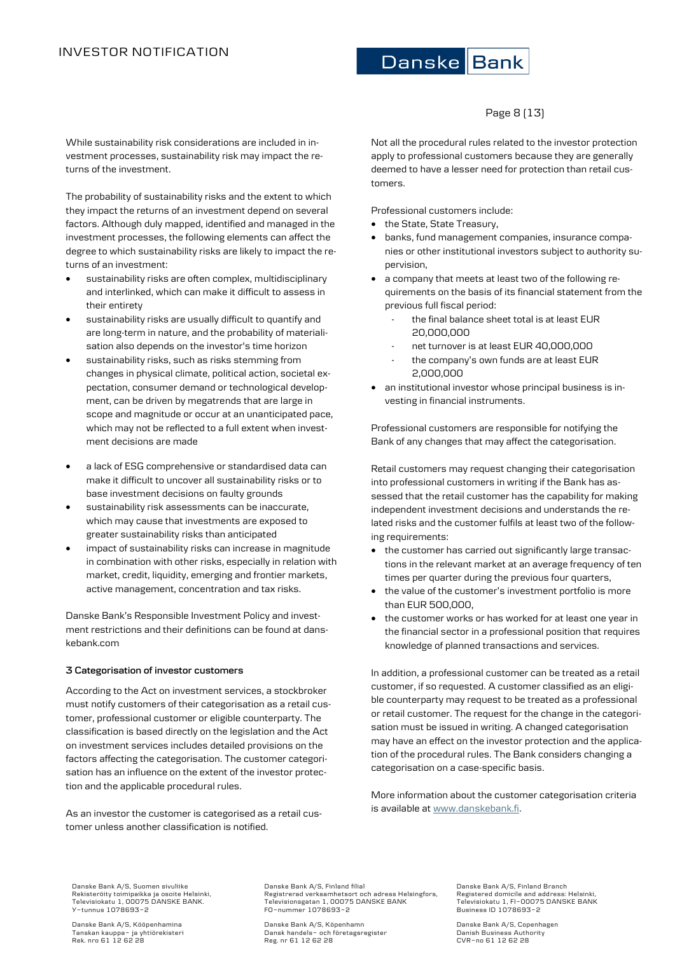# Page 8 (13)

While sustainability risk considerations are included in investment processes, sustainability risk may impact the returns of the investment.

The probability of sustainability risks and the extent to which they impact the returns of an investment depend on several factors. Although duly mapped, identified and managed in the investment processes, the following elements can affect the degree to which sustainability risks are likely to impact the returns of an investment:

- sustainability risks are often complex, multidisciplinary and interlinked, which can make it difficult to assess in their entirety
- sustainability risks are usually difficult to quantify and are long-term in nature, and the probability of materialisation also depends on the investor's time horizon
- sustainability risks, such as risks stemming from changes in physical climate, political action, societal expectation, consumer demand or technological development, can be driven by megatrends that are large in scope and magnitude or occur at an unanticipated pace, which may not be reflected to a full extent when investment decisions are made
- a lack of ESG comprehensive or standardised data can make it difficult to uncover all sustainability risks or to base investment decisions on faulty grounds
- sustainability risk assessments can be inaccurate, which may cause that investments are exposed to greater sustainability risks than anticipated
- impact of sustainability risks can increase in magnitude in combination with other risks, especially in relation with market, credit, liquidity, emerging and frontier markets, active management, concentration and tax risks.

Danske Bank's Responsible Investment Policy and investment restrictions and their definitions can be found at danskebank.com

### **3 Categorisation of investor customers**

According to the Act on investment services, a stockbroker must notify customers of their categorisation as a retail customer, professional customer or eligible counterparty. The classification is based directly on the legislation and the Act on investment services includes detailed provisions on the factors affecting the categorisation. The customer categorisation has an influence on the extent of the investor protection and the applicable procedural rules.

As an investor the customer is categorised as a retail customer unless another classification is notified.

Not all the procedural rules related to the investor protection apply to professional customers because they are generally deemed to have a lesser need for protection than retail customers.

Professional customers include:

- the State, State Treasury,
- banks, fund management companies, insurance companies or other institutional investors subject to authority supervision,
- a company that meets at least two of the following requirements on the basis of its financial statement from the previous full fiscal period:
	- the final balance sheet total is at least EUR 20,000,000
	- net turnover is at least EUR 40,000,000
	- the company's own funds are at least EUR 2,000,000
- an institutional investor whose principal business is investing in financial instruments.

Professional customers are responsible for notifying the Bank of any changes that may affect the categorisation.

Retail customers may request changing their categorisation into professional customers in writing if the Bank has assessed that the retail customer has the capability for making independent investment decisions and understands the related risks and the customer fulfils at least two of the following requirements:

- the customer has carried out significantly large transactions in the relevant market at an average frequency of ten times per quarter during the previous four quarters,
- the value of the customer's investment portfolio is more than EUR 500,000,
- the customer works or has worked for at least one year in the financial sector in a professional position that requires knowledge of planned transactions and services.

In addition, a professional customer can be treated as a retail customer, if so requested. A customer classified as an eligible counterparty may request to be treated as a professional or retail customer. The request for the change in the categorisation must be issued in writing. A changed categorisation may have an effect on the investor protection and the application of the procedural rules. The Bank considers changing a categorisation on a case-specific basis.

More information about the customer categorisation criteria is available a[t www.danskebank.fi.](http://www.danskebank.fi/)

Danske Bank A/S, Suomen sivuliike Rekisteröity toimipaikka ja osoite Helsinki, Televisiokatu 1, 00075 DANSKE BANK. Y-tunnus 1078693-2

Danske Bank A/S, Kööpenhamina Tanskan kauppa- ja yhtiörekisteri Rek. nro 61 12 62 28

Danske Bank A/S, Finland filial Registrerad verksamhetsort och adress Helsingfors, Televisionsgatan 1, 00075 DANSKE BANK FO-nummer 1078693-2

Danske Bank A/S, Köpenhamn Dansk handels- och företagsregister Reg. nr 61 12 62 28

Danske Bank A/S, Finland Branch Registered domicile and address: Helsinki, Televisiokatu 1, FI-00075 DANSKE BANK Business ID 1078693-2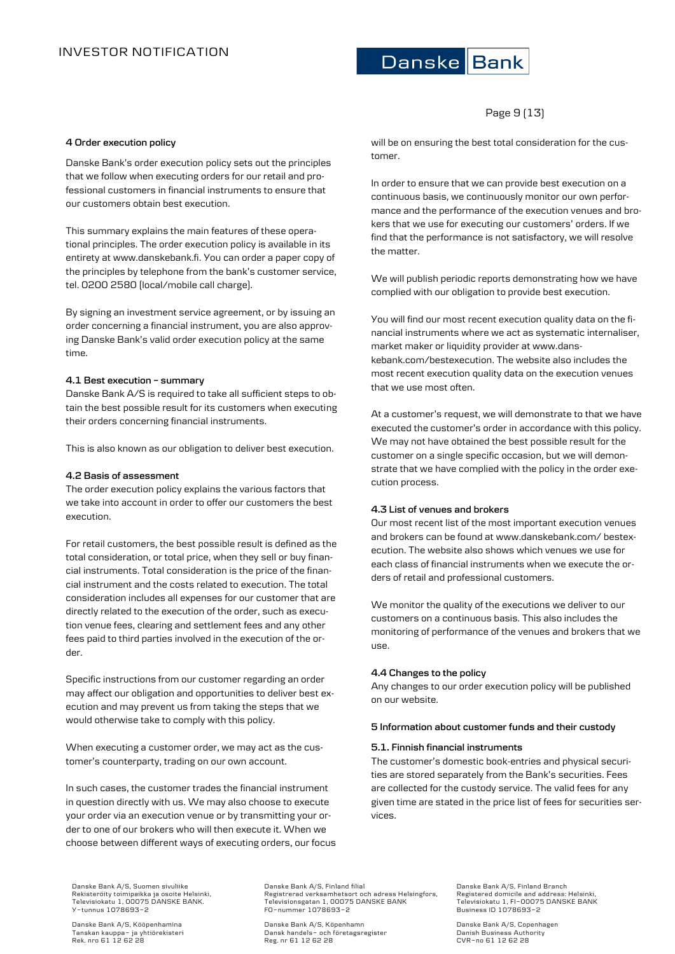# Page 9 (13)

# **4 Order execution policy**

Danske Bank's order execution policy sets out the principles that we follow when executing orders for our retail and professional customers in financial instruments to ensure that our customers obtain best execution.

This summary explains the main features of these operational principles. The order execution policy is available in its entirety at www.danskebank.fi. You can order a paper copy of the principles by telephone from the bank's customer service, tel. 0200 2580 (local/mobile call charge).

By signing an investment service agreement, or by issuing an order concerning a financial instrument, you are also approving Danske Bank's valid order execution policy at the same time.

#### **4.1 Best execution – summary**

Danske Bank A/S is required to take all sufficient steps to obtain the best possible result for its customers when executing their orders concerning financial instruments.

This is also known as our obligation to deliver best execution.

#### **4.2 Basis of assessment**

The order execution policy explains the various factors that we take into account in order to offer our customers the best execution.

For retail customers, the best possible result is defined as the total consideration, or total price, when they sell or buy financial instruments. Total consideration is the price of the financial instrument and the costs related to execution. The total consideration includes all expenses for our customer that are directly related to the execution of the order, such as execution venue fees, clearing and settlement fees and any other fees paid to third parties involved in the execution of the order.

Specific instructions from our customer regarding an order may affect our obligation and opportunities to deliver best execution and may prevent us from taking the steps that we would otherwise take to comply with this policy.

When executing a customer order, we may act as the customer's counterparty, trading on our own account.

In such cases, the customer trades the financial instrument in question directly with us. We may also choose to execute your order via an execution venue or by transmitting your order to one of our brokers who will then execute it. When we choose between different ways of executing orders, our focus will be on ensuring the best total consideration for the customer.

In order to ensure that we can provide best execution on a continuous basis, we continuously monitor our own performance and the performance of the execution venues and brokers that we use for executing our customers' orders. If we find that the performance is not satisfactory, we will resolve the matter.

We will publish periodic reports demonstrating how we have complied with our obligation to provide best execution.

You will find our most recent execution quality data on the financial instruments where we act as systematic internaliser, market maker or liquidity provider at www.danskebank.com/bestexecution. The website also includes the most recent execution quality data on the execution venues that we use most often.

At a customer's request, we will demonstrate to that we have executed the customer's order in accordance with this policy. We may not have obtained the best possible result for the customer on a single specific occasion, but we will demonstrate that we have complied with the policy in the order execution process.

### **4.3 List of venues and brokers**

Our most recent list of the most important execution venues and brokers can be found at www.danskebank.com/ bestexecution. The website also shows which venues we use for each class of financial instruments when we execute the orders of retail and professional customers.

We monitor the quality of the executions we deliver to our customers on a continuous basis. This also includes the monitoring of performance of the venues and brokers that we use.

#### **4.4 Changes to the policy**

Any changes to our order execution policy will be published on our website.

### **5 Information about customer funds and their custody**

#### **5.1. Finnish financial instruments**

The customer's domestic book-entries and physical securities are stored separately from the Bank's securities. Fees are collected for the custody service. The valid fees for any given time are stated in the price list of fees for securities services.

Danske Bank A/S, Suomen sivuliike Rekisteröity toimipaikka ja osoite Helsinki, Televisiokatu 1, 00075 DANSKE BANK. Y-tunnus 1078693-2

Danske Bank A/S, Kööpenhamina Tanskan kauppa- ja yhtiörekisteri Rek. nro 61 12 62 28

Danske Bank A/S, Finland filial Registrerad verksamhetsort och adress Helsingfors, Televisionsgatan 1, 00075 DANSKE BANK FO-nummer 1078693-2

Danske Bank A/S, Köpenhamn Dansk handels- och företagsregister Reg. nr 61 12 62 28

Danske Bank A/S, Finland Branch Registered domicile and address: Helsinki, Televisiokatu 1, FI-00075 DANSKE BANK Business ID 1078693-2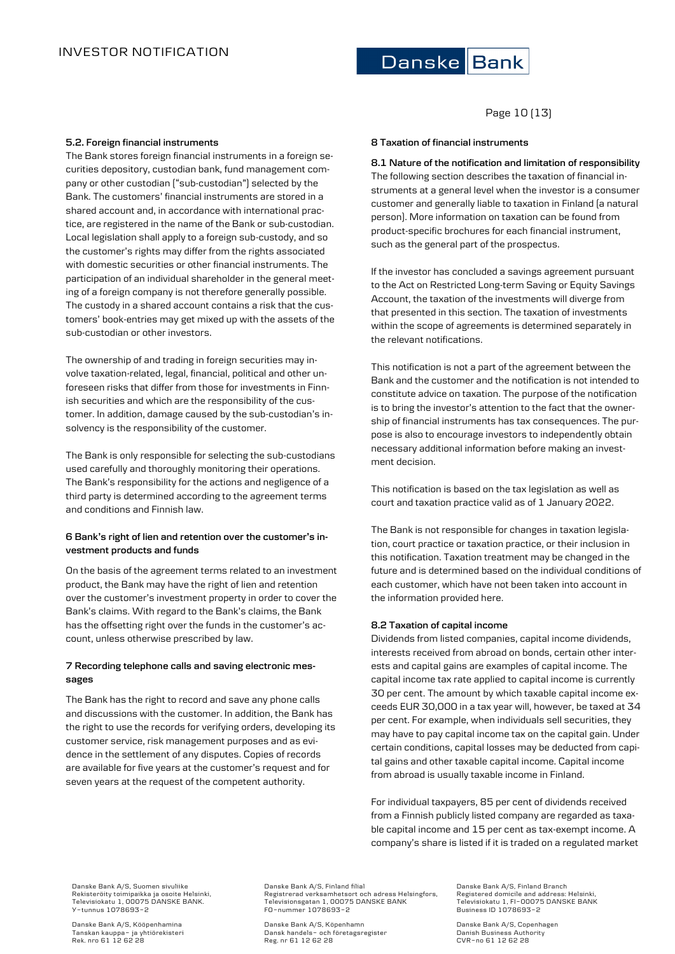# Page 10 (13)

### **5.2. Foreign financial instruments**

The Bank stores foreign financial instruments in a foreign securities depository, custodian bank, fund management company or other custodian ("sub-custodian") selected by the Bank. The customers' financial instruments are stored in a shared account and, in accordance with international practice, are registered in the name of the Bank or sub-custodian. Local legislation shall apply to a foreign sub-custody, and so the customer's rights may differ from the rights associated with domestic securities or other financial instruments. The participation of an individual shareholder in the general meeting of a foreign company is not therefore generally possible. The custody in a shared account contains a risk that the customers' book-entries may get mixed up with the assets of the sub-custodian or other investors.

The ownership of and trading in foreign securities may involve taxation-related, legal, financial, political and other unforeseen risks that differ from those for investments in Finnish securities and which are the responsibility of the customer. In addition, damage caused by the sub-custodian's insolvency is the responsibility of the customer.

The Bank is only responsible for selecting the sub-custodians used carefully and thoroughly monitoring their operations. The Bank's responsibility for the actions and negligence of a third party is determined according to the agreement terms and conditions and Finnish law.

# **6 Bank's right of lien and retention over the customer's investment products and funds**

On the basis of the agreement terms related to an investment product, the Bank may have the right of lien and retention over the customer's investment property in order to cover the Bank's claims. With regard to the Bank's claims, the Bank has the offsetting right over the funds in the customer's account, unless otherwise prescribed by law.

# **7 Recording telephone calls and saving electronic messages**

The Bank has the right to record and save any phone calls and discussions with the customer. In addition, the Bank has the right to use the records for verifying orders, developing its customer service, risk management purposes and as evidence in the settlement of any disputes. Copies of records are available for five years at the customer's request and for seven years at the request of the competent authority.

# **8 Taxation of financial instruments**

**8.1 Nature of the notification and limitation of responsibility** The following section describes the taxation of financial instruments at a general level when the investor is a consumer customer and generally liable to taxation in Finland (a natural person). More information on taxation can be found from product-specific brochures for each financial instrument, such as the general part of the prospectus.

If the investor has concluded a savings agreement pursuant to the Act on Restricted Long-term Saving or Equity Savings Account, the taxation of the investments will diverge from that presented in this section. The taxation of investments within the scope of agreements is determined separately in the relevant notifications.

This notification is not a part of the agreement between the Bank and the customer and the notification is not intended to constitute advice on taxation. The purpose of the notification is to bring the investor's attention to the fact that the ownership of financial instruments has tax consequences. The purpose is also to encourage investors to independently obtain necessary additional information before making an investment decision.

This notification is based on the tax legislation as well as court and taxation practice valid as of 1 January 2022.

The Bank is not responsible for changes in taxation legislation, court practice or taxation practice, or their inclusion in this notification. Taxation treatment may be changed in the future and is determined based on the individual conditions of each customer, which have not been taken into account in the information provided here.

# **8.2 Taxation of capital income**

Dividends from listed companies, capital income dividends, interests received from abroad on bonds, certain other interests and capital gains are examples of capital income. The capital income tax rate applied to capital income is currently 30 per cent. The amount by which taxable capital income exceeds EUR 30,000 in a tax year will, however, be taxed at 34 per cent. For example, when individuals sell securities, they may have to pay capital income tax on the capital gain. Under certain conditions, capital losses may be deducted from capital gains and other taxable capital income. Capital income from abroad is usually taxable income in Finland.

For individual taxpayers, 85 per cent of dividends received from a Finnish publicly listed company are regarded as taxable capital income and 15 per cent as tax-exempt income. A company's share is listed if it is traded on a regulated market

Danske Bank A/S, Suomen sivuliike Rekisteröity toimipaikka ja osoite Helsinki, Televisiokatu 1, 00075 DANSKE BANK. Y-tunnus 1078693-2

Danske Bank A/S, Kööpenhamina Tanskan kauppa- ja yhtiörekisteri Rek. nro 61 12 62 28

Danske Bank A/S, Finland filial Registrerad verksamhetsort och adress Helsingfors, Televisionsgatan 1, 00075 DANSKE BANK FO-nummer 1078693-2

Danske Bank A/S, Köpenhamn Dansk handels- och företagsregister Reg. nr 61 12 62 28

Danske Bank A/S, Finland Branch Registered domicile and address: Helsinki, Televisiokatu 1, FI-00075 DANSKE BANK Business ID 1078693-2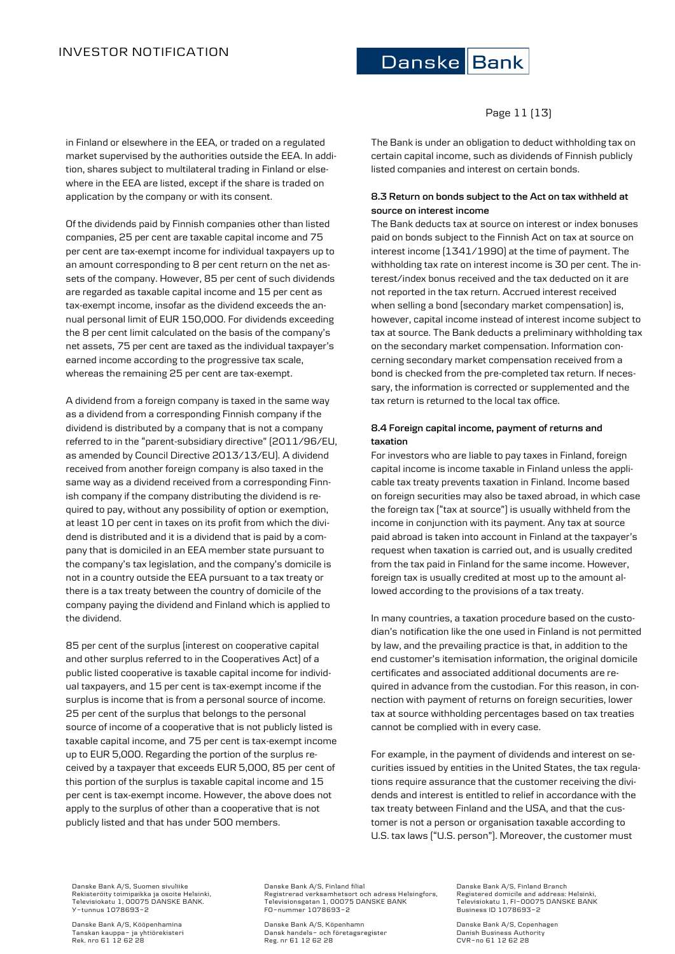where in the EEA are listed, except if the share is traded on

Of the dividends paid by Finnish companies other than listed companies, 25 per cent are taxable capital income and 75 per cent are tax-exempt income for individual taxpayers up to an amount corresponding to 8 per cent return on the net assets of the company. However, 85 per cent of such dividends are regarded as taxable capital income and 15 per cent as tax-exempt income, insofar as the dividend exceeds the annual personal limit of EUR 150,000. For dividends exceeding the 8 per cent limit calculated on the basis of the company's net assets, 75 per cent are taxed as the individual taxpayer's earned income according to the progressive tax scale, whereas the remaining 25 per cent are tax-exempt.

A dividend from a foreign company is taxed in the same way as a dividend from a corresponding Finnish company if the dividend is distributed by a company that is not a company referred to in the "parent-subsidiary directive" (2011/96/EU, as amended by Council Directive 2013/13/EU). A dividend received from another foreign company is also taxed in the same way as a dividend received from a corresponding Finnish company if the company distributing the dividend is required to pay, without any possibility of option or exemption, at least 10 per cent in taxes on its profit from which the dividend is distributed and it is a dividend that is paid by a company that is domiciled in an EEA member state pursuant to the company's tax legislation, and the company's domicile is not in a country outside the EEA pursuant to a tax treaty or there is a tax treaty between the country of domicile of the company paying the dividend and Finland which is applied to

85 per cent of the surplus (interest on cooperative capital and other surplus referred to in the Cooperatives Act) of a public listed cooperative is taxable capital income for individual taxpayers, and 15 per cent is tax-exempt income if the surplus is income that is from a personal source of income. 25 per cent of the surplus that belongs to the personal source of income of a cooperative that is not publicly listed is taxable capital income, and 75 per cent is tax-exempt income up to EUR 5,000. Regarding the portion of the surplus received by a taxpayer that exceeds EUR 5,000, 85 per cent of this portion of the surplus is taxable capital income and 15 per cent is tax-exempt income. However, the above does not apply to the surplus of other than a cooperative that is not

application by the company or with its consent.

# Danske Bank

in Finland or elsewhere in the EEA, or traded on a regulated market supervised by the authorities outside the EEA. In addition, shares subject to multilateral trading in Finland or else-The Bank is under an obligation to deduct withholding tax on certain capital income, such as dividends of Finnish publicly listed companies and interest on certain bonds.

# **8.3 Return on bonds subject to the Act on tax withheld at source on interest income**

The Bank deducts tax at source on interest or index bonuses paid on bonds subject to the Finnish Act on tax at source on interest income (1341/1990) at the time of payment. The withholding tax rate on interest income is 30 per cent. The interest/index bonus received and the tax deducted on it are not reported in the tax return. Accrued interest received when selling a bond (secondary market compensation) is, however, capital income instead of interest income subject to tax at source. The Bank deducts a preliminary withholding tax on the secondary market compensation. Information concerning secondary market compensation received from a bond is checked from the pre-completed tax return. If necessary, the information is corrected or supplemented and the tax return is returned to the local tax office.

# **8.4 Foreign capital income, payment of returns and taxation**

For investors who are liable to pay taxes in Finland, foreign capital income is income taxable in Finland unless the applicable tax treaty prevents taxation in Finland. Income based on foreign securities may also be taxed abroad, in which case the foreign tax ("tax at source") is usually withheld from the income in conjunction with its payment. Any tax at source paid abroad is taken into account in Finland at the taxpayer's request when taxation is carried out, and is usually credited from the tax paid in Finland for the same income. However, foreign tax is usually credited at most up to the amount allowed according to the provisions of a tax treaty.

In many countries, a taxation procedure based on the custodian's notification like the one used in Finland is not permitted by law, and the prevailing practice is that, in addition to the end customer's itemisation information, the original domicile certificates and associated additional documents are required in advance from the custodian. For this reason, in connection with payment of returns on foreign securities, lower tax at source withholding percentages based on tax treaties cannot be complied with in every case.

For example, in the payment of dividends and interest on securities issued by entities in the United States, the tax regulations require assurance that the customer receiving the dividends and interest is entitled to relief in accordance with the tax treaty between Finland and the USA, and that the customer is not a person or organisation taxable according to U.S. tax laws ("U.S. person"). Moreover, the customer must

Danske Bank A/S, Suomen sivuliike Rekisteröity toimipaikka ja osoite Helsinki, Televisiokatu 1, 00075 DANSKE BANK. Y-tunnus 1078693-2

publicly listed and that has under 500 members.

Danske Bank A/S, Kööpenhamina Tanskan kauppa- ja yhtiörekisteri Rek. nro 61 12 62 28

the dividend.

Danske Bank A/S, Finland filial Registrerad verksamhetsort och adress Helsingfors, Televisionsgatan 1, 00075 DANSKE BANK FO-nummer 1078693-2

Danske Bank A/S, Köpenhamn Dansk handels- och företagsregister Reg. nr 61 12 62 28

Danske Bank A/S, Finland Branch Registered domicile and address: Helsinki, Televisiokatu 1, FI-00075 DANSKE BANK Business ID 1078693-2

Danske Bank A/S, Copenhagen Danish Business Authority CVR-no 61 12 62 28

# Page 11 (13)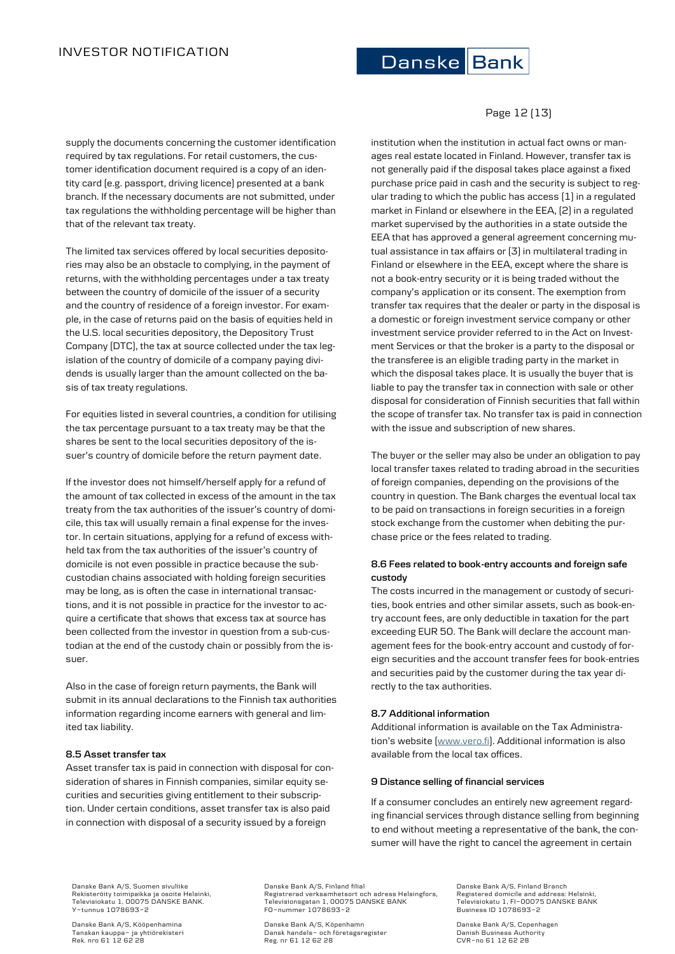

supply the documents concerning the customer identification required by tax regulations. For retail customers, the customer identification document required is a copy of an identity card (e.g. passport, driving licence) presented at a bank branch. If the necessary documents are not submitted, under tax regulations the withholding percentage will be higher than that of the relevant tax treaty.

The limited tax services offered by local securities depositories may also be an obstacle to complying, in the payment of returns, with the withholding percentages under a tax treaty between the country of domicile of the issuer of a security and the country of residence of a foreign investor. For example, in the case of returns paid on the basis of equities held in the U.S. local securities depository, the Depository Trust Company (DTC), the tax at source collected under the tax legislation of the country of domicile of a company paying dividends is usually larger than the amount collected on the basis of tax treaty regulations.

For equities listed in several countries, a condition for utilising the tax percentage pursuant to a tax treaty may be that the shares be sent to the local securities depository of the issuer's country of domicile before the return payment date.

If the investor does not himself/herself apply for a refund of the amount of tax collected in excess of the amount in the tax treaty from the tax authorities of the issuer's country of domicile, this tax will usually remain a final expense for the investor. In certain situations, applying for a refund of excess withheld tax from the tax authorities of the issuer's country of domicile is not even possible in practice because the subcustodian chains associated with holding foreign securities may be long, as is often the case in international transactions, and it is not possible in practice for the investor to acquire a certificate that shows that excess tax at source has been collected from the investor in question from a sub-custodian at the end of the custody chain or possibly from the issuer.

Also in the case of foreign return payments, the Bank will submit in its annual declarations to the Finnish tax authorities information regarding income earners with general and limited tax liability.

# **8.5 Asset transfer tax**

Asset transfer tax is paid in connection with disposal for consideration of shares in Finnish companies, similar equity securities and securities giving entitlement to their subscription. Under certain conditions, asset transfer tax is also paid in connection with disposal of a security issued by a foreign

# Page 12 (13)

institution when the institution in actual fact owns or manages real estate located in Finland. However, transfer tax is not generally paid if the disposal takes place against a fixed purchase price paid in cash and the security is subject to regular trading to which the public has access (1) in a regulated market in Finland or elsewhere in the EEA, (2) in a regulated market supervised by the authorities in a state outside the EEA that has approved a general agreement concerning mutual assistance in tax affairs or (3) in multilateral trading in Finland or elsewhere in the EEA, except where the share is not a book-entry security or it is being traded without the company's application or its consent. The exemption from transfer tax requires that the dealer or party in the disposal is a domestic or foreign investment service company or other investment service provider referred to in the Act on Investment Services or that the broker is a party to the disposal or the transferee is an eligible trading party in the market in which the disposal takes place. It is usually the buyer that is liable to pay the transfer tax in connection with sale or other disposal for consideration of Finnish securities that fall within the scope of transfer tax. No transfer tax is paid in connection with the issue and subscription of new shares.

The buyer or the seller may also be under an obligation to pay local transfer taxes related to trading abroad in the securities of foreign companies, depending on the provisions of the country in question. The Bank charges the eventual local tax to be paid on transactions in foreign securities in a foreign stock exchange from the customer when debiting the purchase price or the fees related to trading.

# **8.6 Fees related to book-entry accounts and foreign safe custody**

The costs incurred in the management or custody of securities, book entries and other similar assets, such as book-entry account fees, are only deductible in taxation for the part exceeding EUR 50. The Bank will declare the account management fees for the book-entry account and custody of foreign securities and the account transfer fees for book-entries and securities paid by the customer during the tax year directly to the tax authorities.

# **8.7 Additional information**

Additional information is available on the Tax Administration's website ([www.vero.fi\)](http://www.vero.fi/). Additional information is also available from the local tax offices.

### **9 Distance selling of financial services**

If a consumer concludes an entirely new agreement regarding financial services through distance selling from beginning to end without meeting a representative of the bank, the consumer will have the right to cancel the agreement in certain

Danske Bank A/S, Suomen sivuliike Rekisteröity toimipaikka ja osoite Helsinki, Televisiokatu 1, 00075 DANSKE BANK. Y-tunnus 1078693-2

Danske Bank A/S, Kööpenhamina Tanskan kauppa- ja yhtiörekisteri Rek. nro 61 12 62 28

Danske Bank A/S, Finland filial Registrerad verksamhetsort och adress Helsingfors, Televisionsgatan 1, 00075 DANSKE BANK FO-nummer 1078693-2

Danske Bank A/S, Köpenhamn Dansk handels- och företagsregister Reg. nr 61 12 62 28

Danske Bank A/S, Finland Branch Registered domicile and address: Helsinki, Televisiokatu 1, FI-00075 DANSKE BANK Business ID 1078693-2